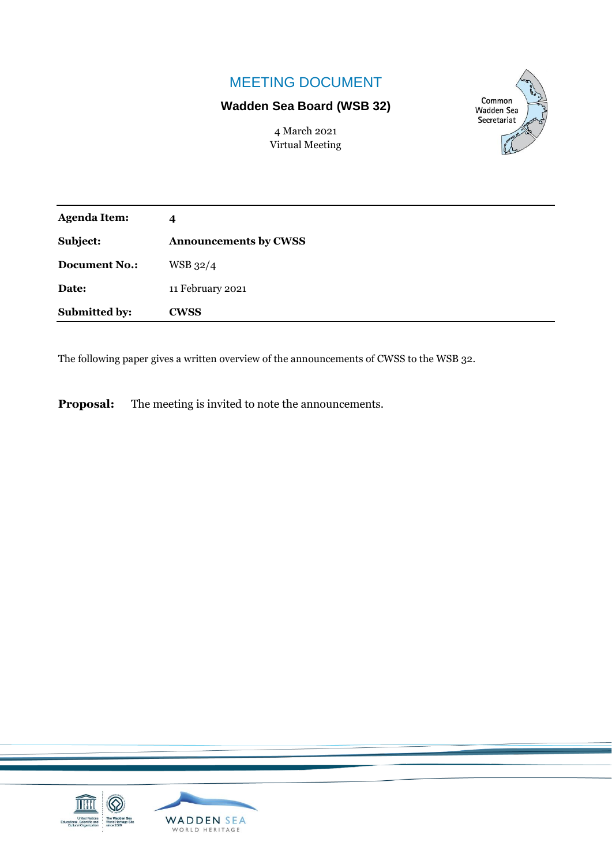## MEETING DOCUMENT

## **Wadden Sea Board (WSB 32)**

Common **Wadden Sea** Secretariat

4 March 2021 Virtual Meeting

| <b>Agenda Item:</b>  | 4                            |
|----------------------|------------------------------|
| Subject:             | <b>Announcements by CWSS</b> |
| <b>Document No.:</b> | WSB 32/4                     |
| Date:                | 11 February 2021             |
| Submitted by:        | <b>CWSS</b>                  |

The following paper gives a written overview of the announcements of CWSS to the WSB 32.

**Proposal:** The meeting is invited to note the announcements.

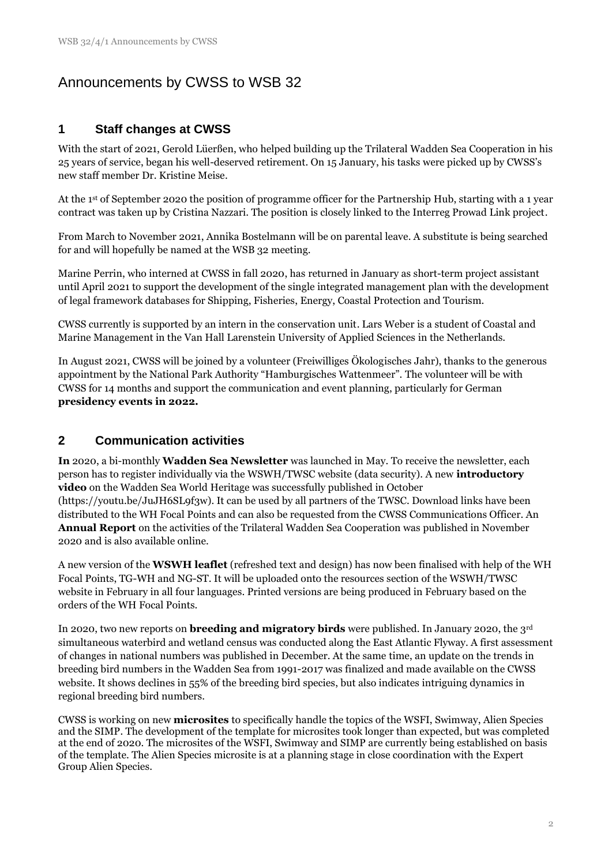# Announcements by CWSS to WSB 32

#### **1 Staff changes at CWSS**

With the start of 2021, Gerold Lüerßen, who helped building up the Trilateral Wadden Sea Cooperation in his 25 years of service, began his well-deserved retirement. On 15 January, his tasks were picked up by CWSS's new staff member Dr. Kristine Meise.

At the 1st of September 2020 the position of programme officer for the Partnership Hub, starting with a 1 year contract was taken up by Cristina Nazzari. The position is closely linked to the Interreg Prowad Link project.

From March to November 2021, Annika Bostelmann will be on parental leave. A substitute is being searched for and will hopefully be named at the WSB 32 meeting.

Marine Perrin, who interned at CWSS in fall 2020, has returned in January as short-term project assistant until April 2021 to support the development of the single integrated management plan with the development of legal framework databases for Shipping, Fisheries, Energy, Coastal Protection and Tourism.

CWSS currently is supported by an intern in the conservation unit. Lars Weber is a student of Coastal and Marine Management in the Van Hall Larenstein University of Applied Sciences in the Netherlands.

In August 2021, CWSS will be joined by a volunteer (Freiwilliges Ökologisches Jahr), thanks to the generous appointment by the National Park Authority "Hamburgisches Wattenmeer". The volunteer will be with CWSS for 14 months and support the communication and event planning, particularly for German **presidency events in 2022.**

#### **2 Communication activities**

**In** 2020, a bi-monthly **Wadden Sea Newsletter** was launched in May. To receive the newsletter, each person has to register individually via the WSWH/TWSC website (data security). A new **introductory video** on the Wadden Sea World Heritage was successfully published in October (https://youtu.be/JuJH6SL9f3w). It can be used by all partners of the TWSC. Download links have been distributed to the WH Focal Points and can also be requested from the CWSS Communications Officer. An **Annual Report** on the activities of the Trilateral Wadden Sea Cooperation was published in November 2020 and is also available online.

A new version of the **WSWH leaflet** (refreshed text and design) has now been finalised with help of the WH Focal Points, TG-WH and NG-ST. It will be uploaded onto the resources section of the WSWH/TWSC website in February in all four languages. Printed versions are being produced in February based on the orders of the WH Focal Points.

In 2020, two new reports on **breeding and migratory birds** were published. In January 2020, the 3rd simultaneous waterbird and wetland census was conducted along the East Atlantic Flyway. A first assessment of changes in national numbers was published in December. At the same time, an update on the trends in breeding bird numbers in the Wadden Sea from 1991-2017 was finalized and made available on the CWSS website. It shows declines in 55% of the breeding bird species, but also indicates intriguing dynamics in regional breeding bird numbers.

CWSS is working on new **microsites** to specifically handle the topics of the WSFI, Swimway, Alien Species and the SIMP. The development of the template for microsites took longer than expected, but was completed at the end of 2020. The microsites of the WSFI, Swimway and SIMP are currently being established on basis of the template. The Alien Species microsite is at a planning stage in close coordination with the Expert Group Alien Species.